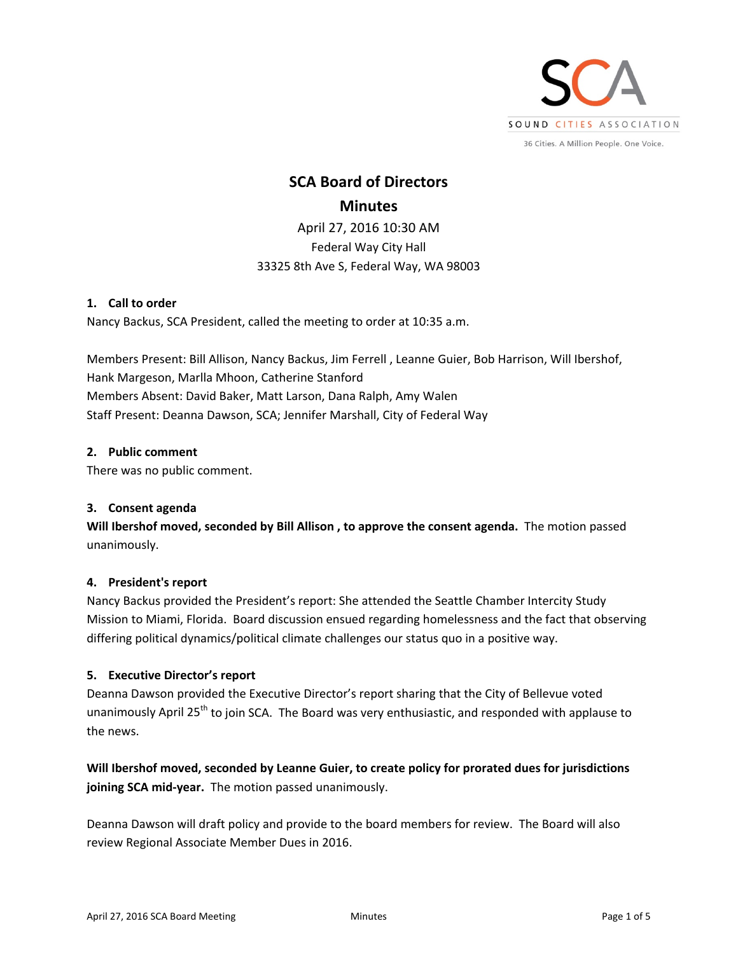

**SCA Board of Directors Minutes**  April 27, 2016 10:30 AM Federal Way City Hall 33325 8th Ave S, Federal Way, WA 98003

## **1. Call to order**

Nancy Backus, SCA President, called the meeting to order at 10:35 a.m.

Members Present: Bill Allison, Nancy Backus, Jim Ferrell , Leanne Guier, Bob Harrison, Will Ibershof, Hank Margeson, Marlla Mhoon, Catherine Stanford Members Absent: David Baker, Matt Larson, Dana Ralph, Amy Walen Staff Present: Deanna Dawson, SCA; Jennifer Marshall, City of Federal Way

## **2. Public comment**

There was no public comment.

# **3. Consent agenda**

**Will Ibershof moved, seconded by Bill Allison , to approve the consent agenda.** The motion passed unanimously.

# **4. President's report**

Nancy Backus provided the President's report: She attended the Seattle Chamber Intercity Study Mission to Miami, Florida. Board discussion ensued regarding homelessness and the fact that observing differing political dynamics/political climate challenges our status quo in a positive way.

# **5. Executive Director's report**

Deanna Dawson provided the Executive Director's report sharing that the City of Bellevue voted unanimously April 25<sup>th</sup> to join SCA. The Board was very enthusiastic, and responded with applause to the news.

**Will Ibershof moved, seconded by Leanne Guier, to create policy for prorated dues for jurisdictions**  joining SCA mid-year. The motion passed unanimously.

Deanna Dawson will draft policy and provide to the board members for review. The Board will also review Regional Associate Member Dues in 2016.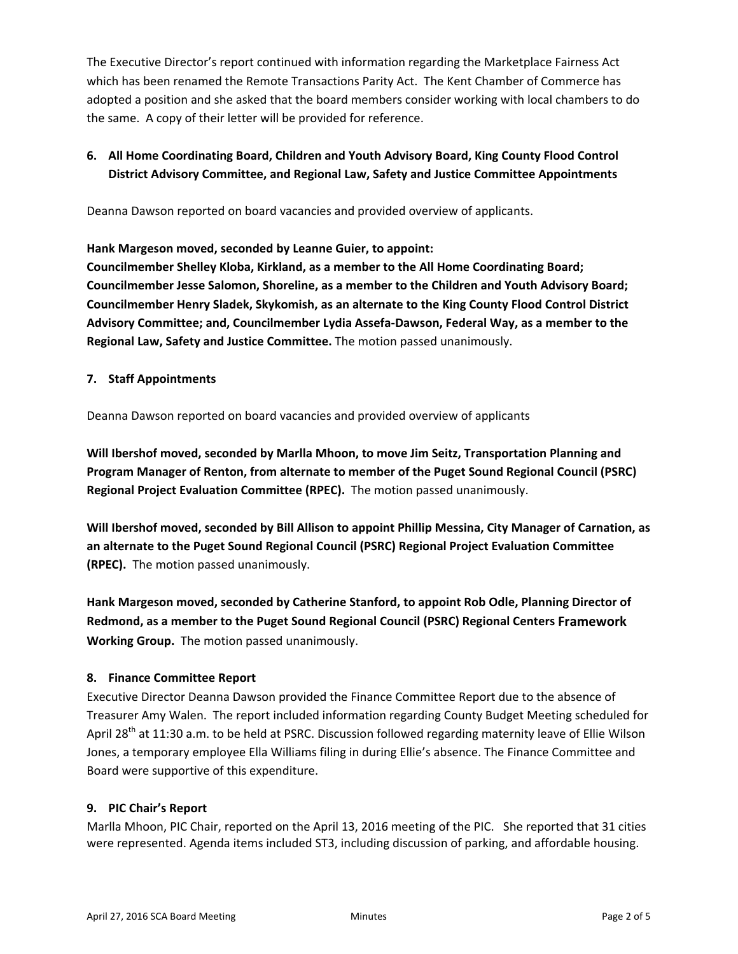The Executive Director's report continued with information regarding the Marketplace Fairness Act which has been renamed the Remote Transactions Parity Act. The Kent Chamber of Commerce has adopted a position and she asked that the board members consider working with local chambers to do the same. A copy of their letter will be provided for reference.

# **6. All Home Coordinating Board, Children and Youth Advisory Board, King County Flood Control District Advisory Committee, and Regional Law, Safety and Justice Committee Appointments**

Deanna Dawson reported on board vacancies and provided overview of applicants.

**Hank Margeson moved, seconded by Leanne Guier, to appoint:** 

**Councilmember Shelley Kloba, Kirkland, as a member to the All Home Coordinating Board; Councilmember Jesse Salomon, Shoreline, as a member to the Children and Youth Advisory Board; Councilmember Henry Sladek, Skykomish, as an alternate to the King County Flood Control District Advisory Committee; and, Councilmember Lydia Assefa‐Dawson, Federal Way, as a member to the Regional Law, Safety and Justice Committee.** The motion passed unanimously.

# **7. Staff Appointments**

Deanna Dawson reported on board vacancies and provided overview of applicants

**Will Ibershof moved, seconded by Marlla Mhoon, to move Jim Seitz, Transportation Planning and Program Manager of Renton, from alternate to member of the Puget Sound Regional Council (PSRC) Regional Project Evaluation Committee (RPEC).** The motion passed unanimously.

**Will Ibershof moved, seconded by Bill Allison to appoint Phillip Messina, City Manager of Carnation, as an alternate to the Puget Sound Regional Council (PSRC) Regional Project Evaluation Committee (RPEC).** The motion passed unanimously.

**Hank Margeson moved, seconded by Catherine Stanford, to appoint Rob Odle, Planning Director of Redmond, as a member to the Puget Sound Regional Council (PSRC) Regional Centers Framework** Working Group. The motion passed unanimously.

# **8. Finance Committee Report**

Executive Director Deanna Dawson provided the Finance Committee Report due to the absence of Treasurer Amy Walen. The report included information regarding County Budget Meeting scheduled for April 28<sup>th</sup> at 11:30 a.m. to be held at PSRC. Discussion followed regarding maternity leave of Ellie Wilson Jones, a temporary employee Ella Williams filing in during Ellie's absence. The Finance Committee and Board were supportive of this expenditure.

# **9. PIC Chair's Report**

Marlla Mhoon, PIC Chair, reported on the April 13, 2016 meeting of the PIC. She reported that 31 cities were represented. Agenda items included ST3, including discussion of parking, and affordable housing.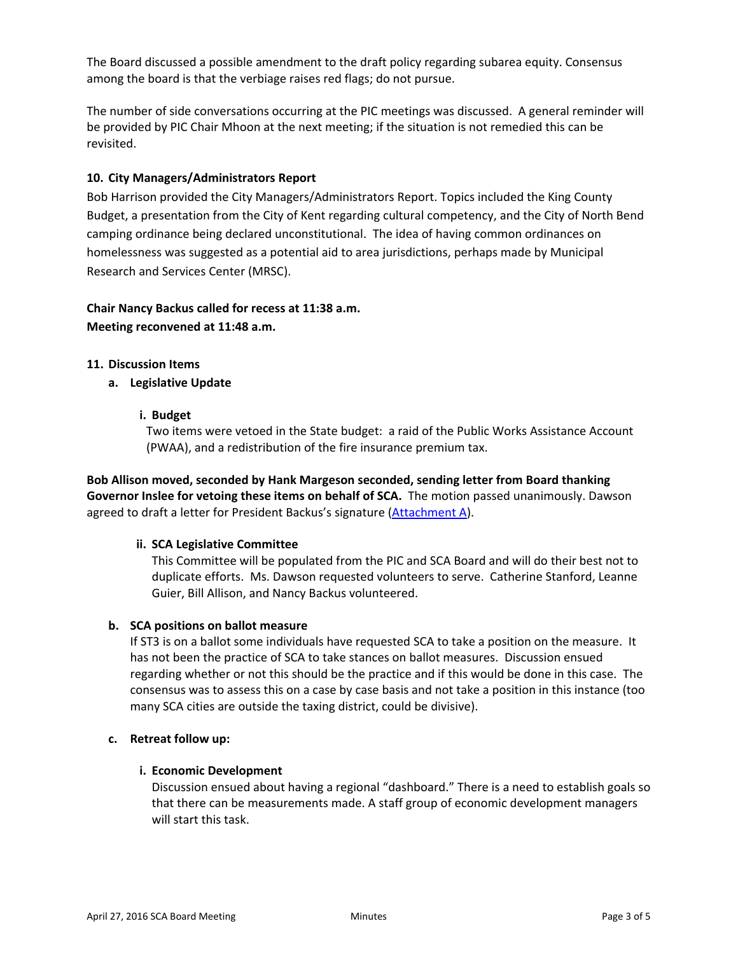The Board discussed a possible amendment to the draft policy regarding subarea equity. Consensus among the board is that the verbiage raises red flags; do not pursue.

The number of side conversations occurring at the PIC meetings was discussed. A general reminder will be provided by PIC Chair Mhoon at the next meeting; if the situation is not remedied this can be revisited.

## **10. City Managers/Administrators Report**

Bob Harrison provided the City Managers/Administrators Report. Topics included the King County Budget, a presentation from the City of Kent regarding cultural competency, and the City of North Bend camping ordinance being declared unconstitutional. The idea of having common ordinances on homelessness was suggested as a potential aid to area jurisdictions, perhaps made by Municipal Research and Services Center (MRSC).

# **Chair Nancy Backus called for recess at 11:38 a.m. Meeting reconvened at 11:48 a.m.**

## **11. Discussion Items**

**a. Legislative Update** 

## **i. Budget**

Two items were vetoed in the State budget: a raid of the Public Works Assistance Account (PWAA), and a redistribution of the fire insurance premium tax.

**Bob Allison moved, seconded by Hank Margeson seconded, sending letter from Board thanking Governor Inslee for vetoing these items on behalf of SCA.**  The motion passed unanimously. Dawson agreed to draft a letter for President Backus's signature (Attachment A).

#### **ii. SCA Legislative Committee**

This Committee will be populated from the PIC and SCA Board and will do their best not to duplicate efforts. Ms. Dawson requested volunteers to serve. Catherine Stanford, Leanne Guier, Bill Allison, and Nancy Backus volunteered.

#### **b. SCA positions on ballot measure**

If ST3 is on a ballot some individuals have requested SCA to take a position on the measure. It has not been the practice of SCA to take stances on ballot measures. Discussion ensued regarding whether or not this should be the practice and if this would be done in this case. The consensus was to assess this on a case by case basis and not take a position in this instance (too many SCA cities are outside the taxing district, could be divisive).

#### **c. Retreat follow up:**

# **i. Economic Development**

Discussion ensued about having a regional "dashboard." There is a need to establish goals so that there can be measurements made. A staff group of economic development managers will start this task.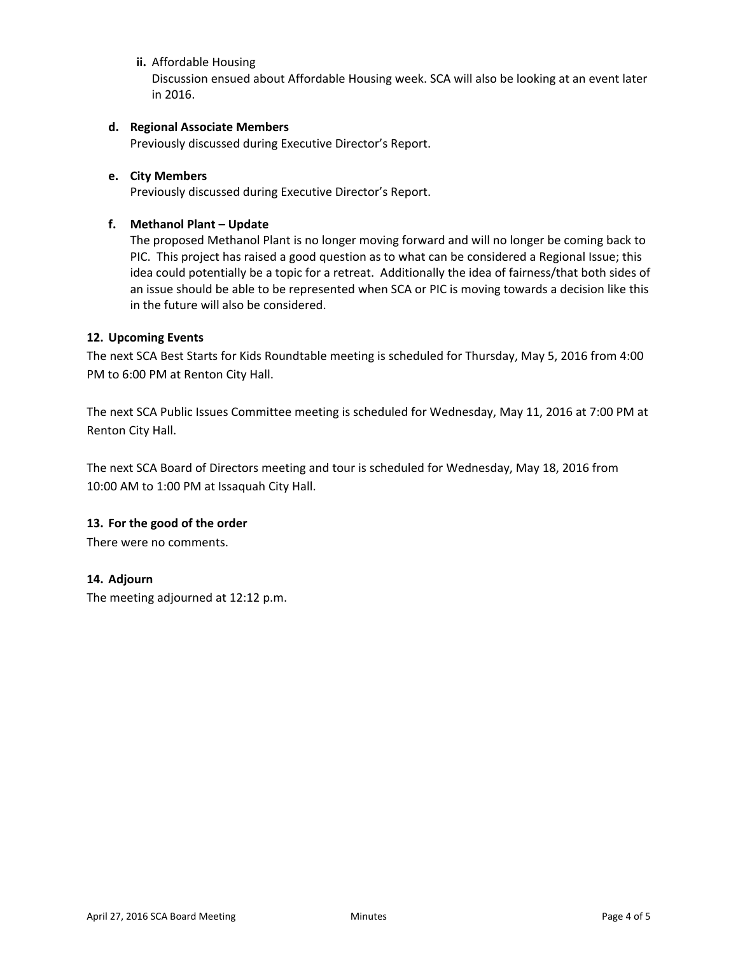# **ii.** Affordable Housing

Discussion ensued about Affordable Housing week. SCA will also be looking at an event later in 2016.

## **d. Regional Associate Members**

Previously discussed during Executive Director's Report.

## **e. City Members**

Previously discussed during Executive Director's Report.

## **f. Methanol Plant – Update**

The proposed Methanol Plant is no longer moving forward and will no longer be coming back to PIC. This project has raised a good question as to what can be considered a Regional Issue; this idea could potentially be a topic for a retreat. Additionally the idea of fairness/that both sides of an issue should be able to be represented when SCA or PIC is moving towards a decision like this in the future will also be considered.

## **12. Upcoming Events**

The next SCA Best Starts for Kids Roundtable meeting is scheduled for Thursday, May 5, 2016 from 4:00 PM to 6:00 PM at Renton City Hall.

The next SCA Public Issues Committee meeting is scheduled for Wednesday, May 11, 2016 at 7:00 PM at Renton City Hall.

The next SCA Board of Directors meeting and tour is scheduled for Wednesday, May 18, 2016 from 10:00 AM to 1:00 PM at Issaquah City Hall.

# **13. For the good of the order**

There were no comments.

#### **14. Adjourn**

The meeting adjourned at 12:12 p.m.